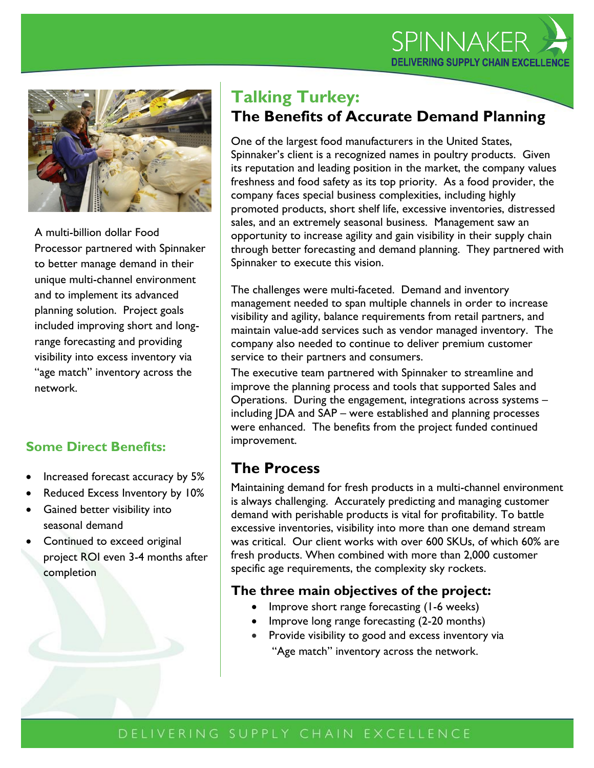



A multi-billion dollar Food Processor partnered with Spinnaker to better manage demand in their unique multi-channel environment and to implement its advanced planning solution. Project goals included improving short and longrange forecasting and providing visibility into excess inventory via "age match" inventory across the network.

### **Some Direct Benefits:**

- Increased forecast accuracy by 5%
- Reduced Excess Inventory by 10%
- **•** Gained better visibility into seasonal demand
- Continued to exceed original project ROI even 3-4 months after completion

## **Talking Turkey: The Benefits of Accurate Demand Planning**

One of the largest food manufacturers in the United States, Spinnaker's client is a recognized names in poultry products. Given its reputation and leading position in the market, the company values freshness and food safety as its top priority. As a food provider, the company faces special business complexities, including highly promoted products, short shelf life, excessive inventories, distressed sales, and an extremely seasonal business. Management saw an opportunity to increase agility and gain visibility in their supply chain through better forecasting and demand planning. They partnered with Spinnaker to execute this vision.

The challenges were multi-faceted. Demand and inventory management needed to span multiple channels in order to increase visibility and agility, balance requirements from retail partners, and maintain value-add services such as vendor managed inventory. The company also needed to continue to deliver premium customer service to their partners and consumers.

The executive team partnered with Spinnaker to streamline and improve the planning process and tools that supported Sales and Operations. During the engagement, integrations across systems – including JDA and SAP – were established and planning processes were enhanced. The benefits from the project funded continued improvement.

## **The Process**

Maintaining demand for fresh products in a multi-channel environment is always challenging. Accurately predicting and managing customer demand with perishable products is vital for profitability. To battle excessive inventories, visibility into more than one demand stream was critical. Our client works with over 600 SKUs, of which 60% are fresh products. When combined with more than 2,000 customer specific age requirements, the complexity sky rockets.

### **The three main objectives of the project:**

- Improve short range forecasting (1-6 weeks)
- Improve long range forecasting (2-20 months)
- Provide visibility to good and excess inventory via

"Age match" inventory across the network.

### DELIVERING SUPPLY CHAIN EXCELLENCE